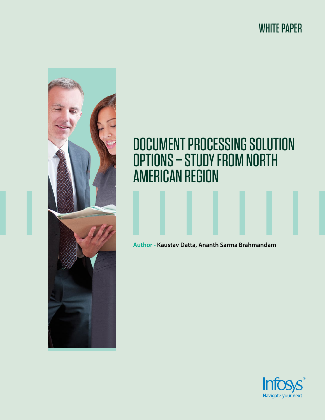WHITE PAPER



# DOCUMENT PROCESSING SOLUTION OPTIONS – STUDY FROM NORTH AMERICAN REGION

**Author - Kaustav Datta, Ananth Sarma Brahmandam**

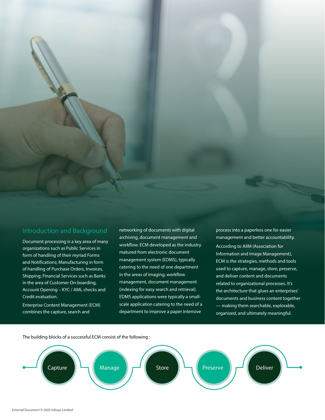

## Introduction and Background

Document processing is a key area of many organizations such as Public Services in form of handling of their myriad Forms and Notifications; Manufacturing in form of handling of Purchase Orders, Invoices, Shipping; Financial Services such as Banks in the area of Customer On-boarding, Account Opening – KYC / AML checks and Credit evaluation.

Enterprise Content Management (ECM) combines the capture, search and

networking of documents with digital archiving, document management and workflow. ECM developed as the industry matured from electronic document management system (EDMS), typically catering to the need of one department in the areas of imaging, workflow management, document management (indexing for easy search and retrieval). EDMS applications were typically a smallscale application catering to the need of a department to improve a paper intensive

process into a paperless one for easier management and better accountability. According to AIIM (Association for Information and Image Management), ECM is the strategies, methods and tools used to capture, manage, store, preserve, and deliver content and documents related to organizational processes. It's the architecture that glues an enterprises' documents and business content together — making them searchable, explorable, organized, and ultimately meaningful.



The building blocks of a successful ECM consist of the following :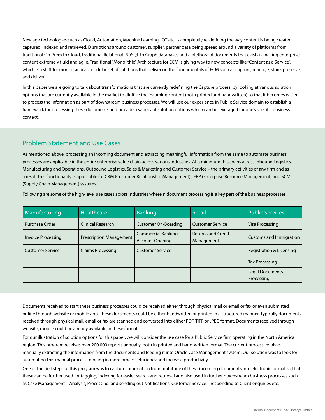New age technologies such as Cloud, Automation, Machine Learning, IOT etc. is completely re-defining the way content is being created, captured, indexed and retrieved. Disruptions around customer, supplier, partner data being spread around a variety of platforms from traditional On-Prem to Cloud, traditional Relational, NoSQL to Graph databases and a plethora of documents that exists is making enterprise content extremely fluid and agile. Traditional "Monolithic" Architecture for ECM is giving way to new concepts like "Content as a Service", which is a shift for more practical, modular set of solutions that deliver on the fundamentals of ECM such as capture, manage, store, preserve, and deliver.

In this paper we are going to talk about transformations that are currently redefining the Capture process, by looking at various solution options that are currently available in the market to digitize the incoming content (both printed and handwritten) so that it becomes easier to process the information as part of downstream business processes. We will use our experience in Public Service domain to establish a framework for processing these documents and provide a variety of solution options which can be leveraged for one's specific business context.

## Problem Statement and Use Cases

As mentioned above, processing an incoming document and extracting meaningful information from the same to automate business processes are applicable in the entire enterprise value chain across various industries. At a minimum this spans across Inbound Logistics, Manufacturing and Operations, Outbound Logistics, Sales & Marketing and Customer Service – the primary activities of any firm and as a result this functionality is applicable for CRM (Customer Relationship Management) , ERP (Enterprise Resource Management) and SCM (Supply Chain Management) systems.

Following are some of the high-level use cases across industries wherein document processing is a key part of the business processes.

| Manufacturing             | <b>Healthcare</b>              | <b>Banking</b>                                      | Retail                                  | <b>Public Services</b>         |
|---------------------------|--------------------------------|-----------------------------------------------------|-----------------------------------------|--------------------------------|
| Purchase Order            | <b>Clinical Research</b>       | <b>Customer On-Boarding</b>                         | <b>Customer Service</b>                 | Visa Processing                |
| <b>Invoice Processing</b> | <b>Prescription Management</b> | <b>Commercial Banking</b><br><b>Account Opening</b> | <b>Returns and Credit</b><br>Management | <b>Customs and Immigration</b> |
| <b>Customer Service</b>   | <b>Claims Processing</b>       | <b>Customer Service</b>                             |                                         | Registration & Licensing       |
|                           |                                |                                                     |                                         | <b>Tax Processing</b>          |
|                           |                                |                                                     |                                         | Legal Documents<br>Processing  |

Documents received to start these business processes could be received either through physical mail or email or fax or even submitted online through website or mobile app. These documents could be either handwritten or printed in a structured manner. Typically documents received through physical mail, email or fax are scanned and converted into either PDF, TIFF or JPEG format. Documents received through website, mobile could be already available in these format.

For our illustration of solution options for this paper, we will consider the use case for a Public Service firm operating in the North America region. This program receives over 200,000 reports annually, both in printed and hand-written format. The current process involves manually extracting the information from the documents and feeding it into Oracle Case Management system. Our solution was to look for automating this manual process to being in more process efficiency and increase productivity.

One of the first steps of this program was to capture information from multitude of these incoming documents into electronic format so that these can be further used for tagging, indexing for easier search and retrieval and also used in further downstream business processes such as Case Management – Analysis, Processing and sending out Notifications, Customer Service – responding to Client enquiries etc.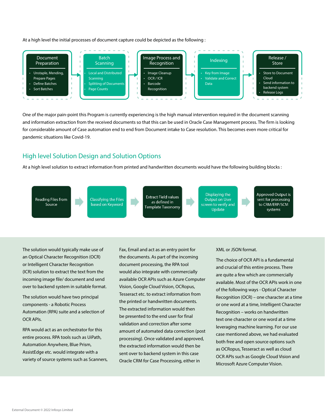At a high level the initial processes of document capture could be depicted as the following :



One of the major pain-point this Program is currently experiencing is the high manual intervention required in the document scanning and information extraction from the received documents so that this can be used in Oracle Case Management process. The firm is looking for considerable amount of Case automation end to end from Document intake to Case resolution. This becomes even more critical for pandemic situations like Covid-19.

## High level Solution Design and Solution Options

At a high level solution to extract information from printed and handwritten documents would have the following building blocks :

Reading Files from Source

**Classifying the Files** based on Keyword

**Extract Field values** as defined in Template Taxonomy

Displaying the **Output on User** screen to verify and Update

Approved Output is sent for processing to CRM/ERP/SCM systems

The solution would typically make use of an Optical Character Recognition (OCR) or Intelligent Character Recognition (ICR) solution to extract the text from the incoming image file/ document and send over to backend system in suitable format.

The solution would have two principal components - a Robotic Process Automation (RPA) suite and a selection of OCR APIs.

RPA would act as an orchestrator for this entire process. RPA tools such as UiPath, Automation Anywhere, Blue Prism, AssistEdge etc. would integrate with a variety of source systems such as Scanners, Fax, Email and act as an entry point for the documents. As part of the incoming document processing, the RPA tool would also integrate with commercially available OCR APIs such as Azure Computer Vision, Google Cloud Vision, OCRopus, Tesseract etc. to extract information from the printed or handwritten documents. The extracted information would then be presented to the end user for final validation and correction after some amount of automated data correction (post processing). Once validated and approved, the extracted information would then be sent over to backend system in this case Oracle CRM for Case Processing, either in

#### XML or JSON format.

The choice of OCR API is a fundamental and crucial of this entire process. There are quite a few which are commercially available. Most of the OCR APIs work in one of the following ways - Optical Character Recognition (OCR) – one character at a time or one word at a time, Intelligent Character Recognition – works on handwritten text one character or one word at a time leveraging machine learning. For our use case mentioned above, we had evaluated both free and open source options such as OCRopus, Tesseract as well as cloud OCR APIs such as Google Cloud Vision and Microsoft Azure Computer Vision.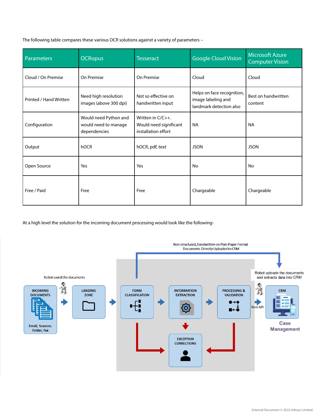The following table compares these various OCR solutions against a variety of parameters –

| Parameters             | <b>OCRopus</b>                                                | <b>Tesseract</b>                                                      | <b>Google Cloud Vision</b>                                                  | <b>Microsoft Azure</b><br><b>Computer Vision</b> |
|------------------------|---------------------------------------------------------------|-----------------------------------------------------------------------|-----------------------------------------------------------------------------|--------------------------------------------------|
| Cloud / On Premise     | On Premise                                                    | On Premise                                                            | Cloud                                                                       | Cloud                                            |
| Printed / Hand Written | Need high resolution<br>images (above 300 dpi)                | Not so effective on<br>handwritten input                              | Helps on face recognition,<br>image labeling and<br>landmark detection also | Best on handwritten<br>content                   |
| Configuration          | Would need Python and<br>would need to manage<br>dependencies | Written in $C/C++$ .<br>Would need significant<br>installation effort | <b>NA</b>                                                                   | <b>NA</b>                                        |
| Output                 | hOCR                                                          | hOCR, pdf, text                                                       | <b>JSON</b>                                                                 | <b>JSON</b>                                      |
| Open Source            | Yes                                                           | Yes                                                                   | No                                                                          | No                                               |
| Free / Paid            | Free                                                          | Free                                                                  | Chargeable                                                                  | Chargeable                                       |

At a high level the solution for the incoming document processing would look like the following-



External Document © 2022 Infosys Limited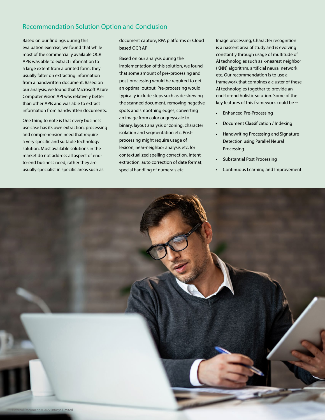## Recommendation Solution Option and Conclusion

Based on our findings during this evaluation exercise, we found that while most of the commercially available OCR APIs was able to extract information to a large extent from a printed form, they usually falter on extracting information from a handwritten document. Based on our analysis, we found that Microsoft Azure Computer Vision API was relatively better than other APIs and was able to extract information from handwritten documents.

One thing to note is that every business use case has its own extraction, processing and comprehension need that require a very specific and suitable technology solution. Most available solutions in the market do not address all aspect of endto-end business need, rather they are usually specialist in specific areas such as

document capture, RPA platforms or Cloud based OCR API.

Based on our analysis during the implementation of this solution, we found that some amount of pre-processing and post-processing would be required to get an optimal output. Pre-processing would typically include steps such as de-skewing the scanned document, removing negative spots and smoothing edges, converting an image from color or greyscale to binary, layout analysis or zoning, character isolation and segmentation etc. Postprocessing might require usage of lexicon, near-neighbor analysis etc. for contextualized spelling correction, intent extraction, auto correction of date format, special handling of numerals etc.

Image processing, Character recognition is a nascent area of study and is evolving constantly through usage of multitude of AI technologies such as k-nearest neighbor (KNN) algorithm, artificial neural network etc. Our recommendation is to use a framework that combines a cluster of these AI technologies together to provide an end-to-end holistic solution. Some of the key features of this framework could be  $\sim$ 

- Enhanced Pre-Processing
- Document Classification / Indexing
- Handwriting Processing and Signature Detection using Parallel Neural Processing
- Substantial Post Processing
- Continuous Learning and Improvement

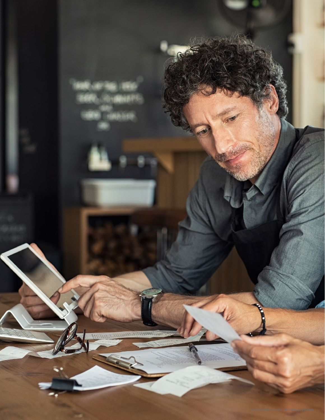